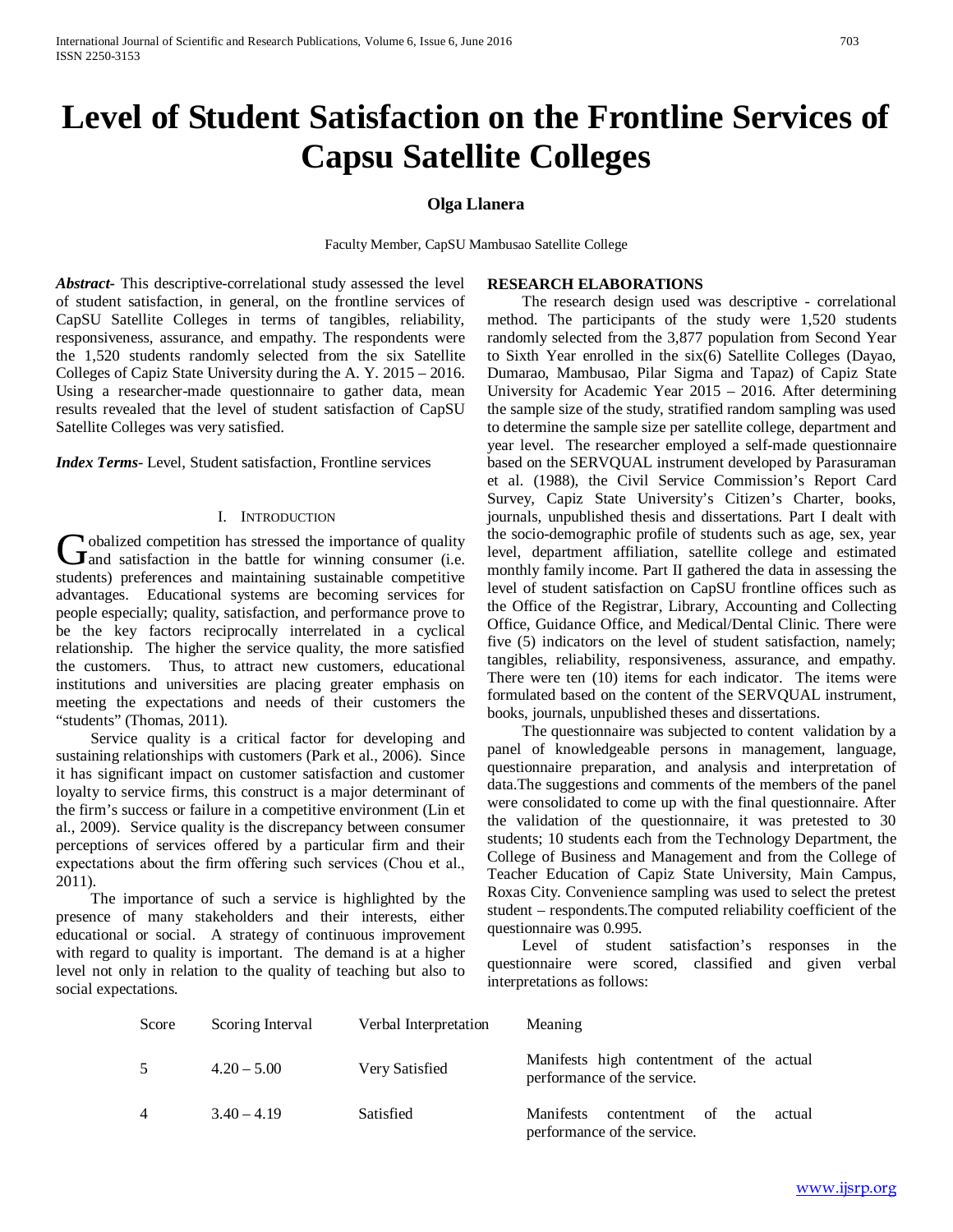# **Level of Student Satisfaction on the Frontline Services of Capsu Satellite Colleges**

## **Olga Llanera**

Faculty Member, CapSU Mambusao Satellite College

*Abstract***-** This descriptive-correlational study assessed the level of student satisfaction, in general, on the frontline services of CapSU Satellite Colleges in terms of tangibles, reliability, responsiveness, assurance, and empathy. The respondents were the 1,520 students randomly selected from the six Satellite Colleges of Capiz State University during the A. Y. 2015 – 2016. Using a researcher-made questionnaire to gather data, mean results revealed that the level of student satisfaction of CapSU Satellite Colleges was very satisfied.

*Index Terms*- Level, Student satisfaction, Frontline services

## I. INTRODUCTION

**v**obalized competition has stressed the importance of quality Gobalized competition has stressed the importance of quality<br>and satisfaction in the battle for winning consumer (i.e. students) preferences and maintaining sustainable competitive advantages. Educational systems are becoming services for people especially; quality, satisfaction, and performance prove to be the key factors reciprocally interrelated in a cyclical relationship. The higher the service quality, the more satisfied the customers. Thus, to attract new customers, educational institutions and universities are placing greater emphasis on meeting the expectations and needs of their customers the "students" (Thomas, 2011).

 Service quality is a critical factor for developing and sustaining relationships with customers (Park et al., 2006). Since it has significant impact on customer satisfaction and customer loyalty to service firms, this construct is a major determinant of the firm's success or failure in a competitive environment (Lin et al., 2009). Service quality is the discrepancy between consumer perceptions of services offered by a particular firm and their expectations about the firm offering such services (Chou et al., 2011).

 The importance of such a service is highlighted by the presence of many stakeholders and their interests, either educational or social. A strategy of continuous improvement with regard to quality is important. The demand is at a higher level not only in relation to the quality of teaching but also to social expectations.

## **RESEARCH ELABORATIONS**

 The research design used was descriptive - correlational method. The participants of the study were 1,520 students randomly selected from the 3,877 population from Second Year to Sixth Year enrolled in the six(6) Satellite Colleges (Dayao, Dumarao, Mambusao, Pilar Sigma and Tapaz) of Capiz State University for Academic Year 2015 – 2016. After determining the sample size of the study, stratified random sampling was used to determine the sample size per satellite college, department and year level. The researcher employed a self-made questionnaire based on the SERVQUAL instrument developed by Parasuraman et al. (1988), the Civil Service Commission's Report Card Survey, Capiz State University's Citizen's Charter, books, journals, unpublished thesis and dissertations. Part I dealt with the socio-demographic profile of students such as age, sex, year level, department affiliation, satellite college and estimated monthly family income. Part II gathered the data in assessing the level of student satisfaction on CapSU frontline offices such as the Office of the Registrar, Library, Accounting and Collecting Office, Guidance Office, and Medical/Dental Clinic. There were five (5) indicators on the level of student satisfaction, namely; tangibles, reliability, responsiveness, assurance, and empathy. There were ten (10) items for each indicator. The items were formulated based on the content of the SERVQUAL instrument, books, journals, unpublished theses and dissertations.

 The questionnaire was subjected to content validation by a panel of knowledgeable persons in management, language, questionnaire preparation, and analysis and interpretation of data.The suggestions and comments of the members of the panel were consolidated to come up with the final questionnaire. After the validation of the questionnaire, it was pretested to 30 students; 10 students each from the Technology Department, the College of Business and Management and from the College of Teacher Education of Capiz State University, Main Campus, Roxas City. Convenience sampling was used to select the pretest student – respondents.The computed reliability coefficient of the questionnaire was 0.995.

 Level of student satisfaction's responses in the questionnaire were scored, classified and given verbal interpretations as follows:

| Score | Scoring Interval | Verbal Interpretation | <b>Meaning</b>                                                                     |
|-------|------------------|-----------------------|------------------------------------------------------------------------------------|
| 5     | $4.20 - 5.00$    | Very Satisfied        | Manifests high contentment of the actual<br>performance of the service.            |
| 4     | $3.40 - 4.19$    | Satisfied             | <b>Manifests</b><br>contentment of<br>the<br>actual<br>performance of the service. |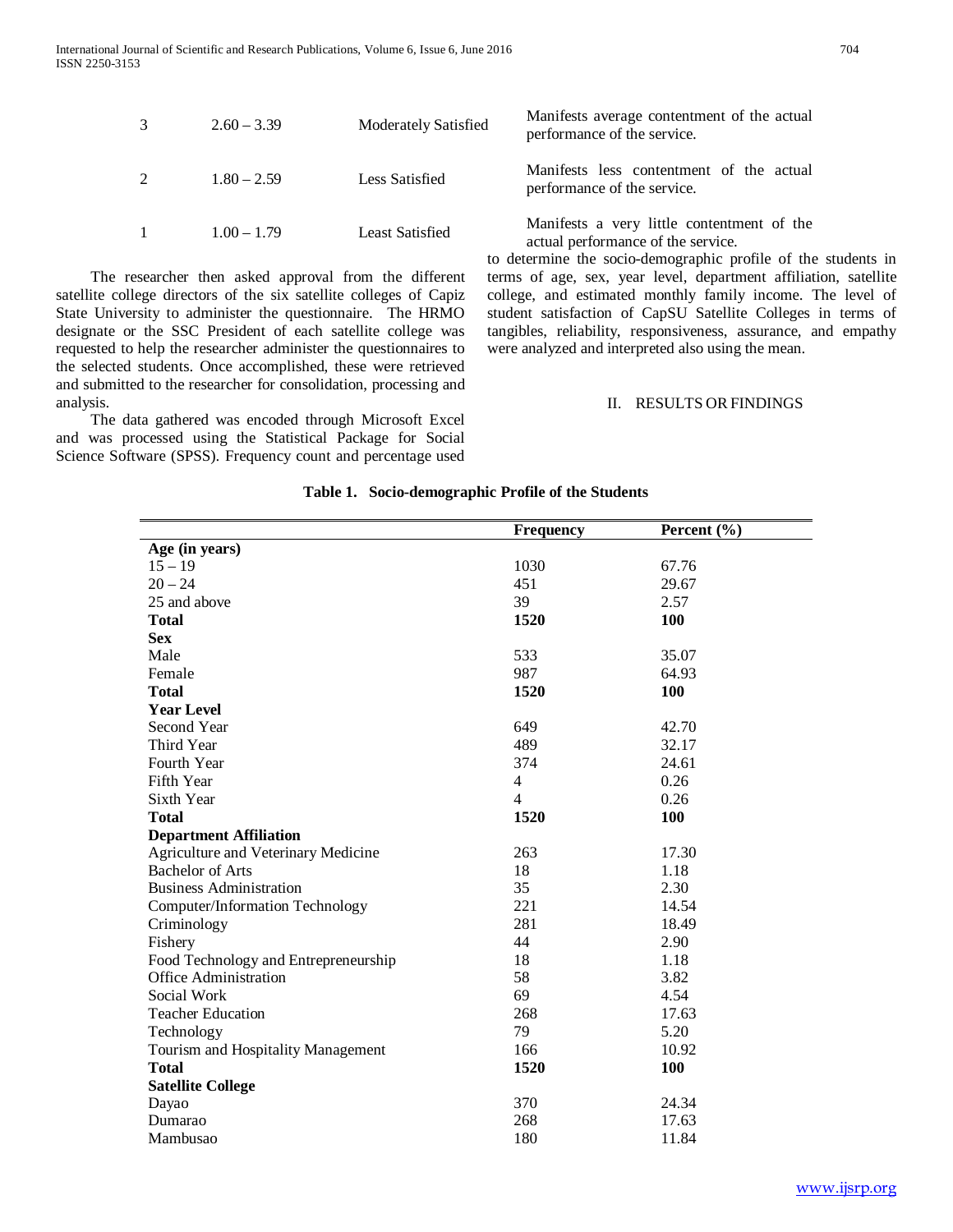|   | $2.60 - 3.39$ | <b>Moderately Satisfied</b> | Manifests average contentment of the actual<br>performance of the service.                                                                                                                                                                                                                                                          |
|---|---------------|-----------------------------|-------------------------------------------------------------------------------------------------------------------------------------------------------------------------------------------------------------------------------------------------------------------------------------------------------------------------------------|
| 2 | $1.80 - 2.59$ | Less Satisfied              | Manifests less contentment of the actual<br>performance of the service.                                                                                                                                                                                                                                                             |
|   | $1.00 - 1.79$ | Least Satisfied             | Manifests a very little contentment of the<br>actual performance of the service.<br>$\mathcal{L} = \mathcal{L} \mathcal{L}$ . The second contract of the second contract of the second contract of the second second second second second second second second second second second second second second second second second secon |

 The researcher then asked approval from the different satellite college directors of the six satellite colleges of Capiz State University to administer the questionnaire. The HRMO designate or the SSC President of each satellite college was requested to help the researcher administer the questionnaires to the selected students. Once accomplished, these were retrieved and submitted to the researcher for consolidation, processing and analysis.

 The data gathered was encoded through Microsoft Excel and was processed using the Statistical Package for Social Science Software (SPSS). Frequency count and percentage used to determine the socio-demographic profile of the students in terms of age, sex, year level, department affiliation, satellite college, and estimated monthly family income. The level of student satisfaction of CapSU Satellite Colleges in terms of tangibles, reliability, responsiveness, assurance, and empathy were analyzed and interpreted also using the mean.

#### II. RESULTS ORFINDINGS

|                                        | <b>Frequency</b> | Percent $(\% )$ |
|----------------------------------------|------------------|-----------------|
| Age (in years)                         |                  |                 |
| $15 - 19$                              | 1030             | 67.76           |
| $20 - 24$                              | 451              | 29.67           |
| 25 and above                           | 39               | 2.57            |
| <b>Total</b>                           | 1520             | 100             |
| <b>Sex</b>                             |                  |                 |
| Male                                   | 533              | 35.07           |
| Female                                 | 987              | 64.93           |
| <b>Total</b>                           | 1520             | 100             |
| <b>Year Level</b>                      |                  |                 |
| Second Year                            | 649              | 42.70           |
| Third Year                             | 489              | 32.17           |
| Fourth Year                            | 374              | 24.61           |
| Fifth Year                             | $\overline{4}$   | 0.26            |
| Sixth Year                             | $\overline{4}$   | 0.26            |
| <b>Total</b>                           | 1520             | 100             |
| <b>Department Affiliation</b>          |                  |                 |
| Agriculture and Veterinary Medicine    | 263              | 17.30           |
| <b>Bachelor of Arts</b>                | 18               | 1.18            |
| <b>Business Administration</b>         | 35               | 2.30            |
| <b>Computer/Information Technology</b> | 221              | 14.54           |
| Criminology                            | 281              | 18.49           |
| Fishery                                | 44               | 2.90            |
| Food Technology and Entrepreneurship   | 18               | 1.18            |
| <b>Office Administration</b>           | 58               | 3.82            |
| Social Work                            | 69               | 4.54            |
| <b>Teacher Education</b>               | 268              | 17.63           |
| Technology                             | 79               | 5.20            |
| Tourism and Hospitality Management     | 166              | 10.92           |
| <b>Total</b>                           | 1520             | 100             |
| <b>Satellite College</b>               |                  |                 |
| Dayao                                  | 370              | 24.34           |
| Dumarao                                | 268              | 17.63           |
| Mambusao                               | 180              | 11.84           |

#### **Table 1. Socio-demographic Profile of the Students**